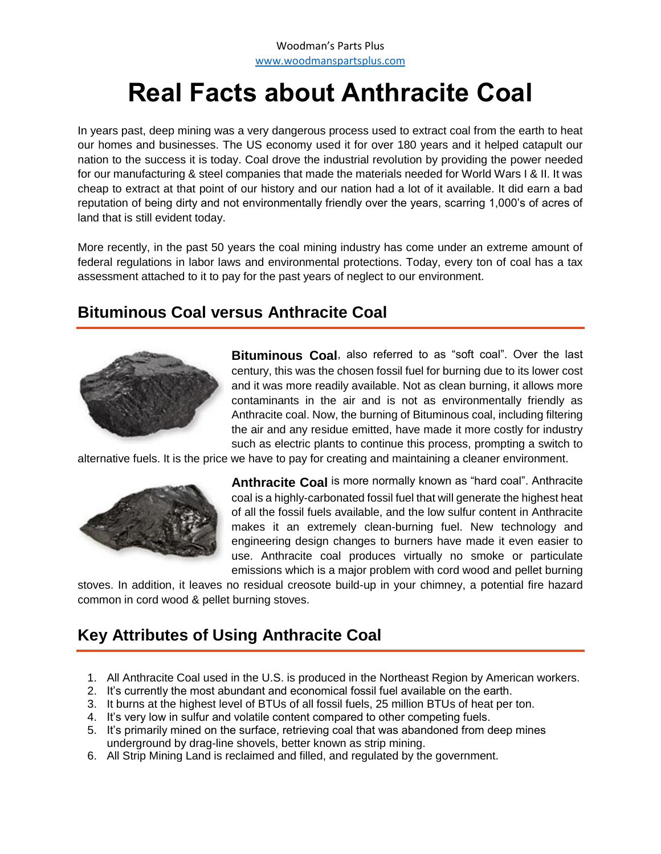# **Real Facts about Anthracite Coal**

In years past, deep mining was a very dangerous process used to extract coal from the earth to heat our homes and businesses. The US economy used it for over 180 years and it helped catapult our nation to the success it is today. Coal drove the industrial revolution by providing the power needed for our manufacturing & steel companies that made the materials needed for World Wars I & II. It was cheap to extract at that point of our history and our nation had a lot of it available. It did earn a bad reputation of being dirty and not environmentally friendly over the years, scarring 1,000's of acres of land that is still evident today.

More recently, in the past 50 years the coal mining industry has come under an extreme amount of federal regulations in labor laws and environmental protections. Today, every ton of coal has a tax assessment attached to it to pay for the past years of neglect to our environment.

## **Bituminous Coal versus Anthracite Coal**



**Bituminous Coal**, also referred to as "soft coal". Over the last century, this was the chosen fossil fuel for burning due to its lower cost and it was more readily available. Not as clean burning, it allows more contaminants in the air and is not as environmentally friendly as Anthracite coal. Now, the burning of Bituminous coal, including filtering the air and any residue emitted, have made it more costly for industry such as electric plants to continue this process, prompting a switch to

alternative fuels. It is the price we have to pay for creating and maintaining a cleaner environment.



**Anthracite Coal** is more normally known as "hard coal". Anthracite coal is a highly-carbonated fossil fuel that will generate the highest heat of all the fossil fuels available, and the low sulfur content in Anthracite makes it an extremely clean-burning fuel. New technology and engineering design changes to burners have made it even easier to use. Anthracite coal produces virtually no smoke or particulate emissions which is a major problem with cord wood and pellet burning

stoves. In addition, it leaves no residual creosote build-up in your chimney, a potential fire hazard common in cord wood & pellet burning stoves.

## **Key Attributes of Using Anthracite Coal**

- 1. All Anthracite Coal used in the U.S. is produced in the Northeast Region by American workers.
- 2. It's currently the most abundant and economical fossil fuel available on the earth.
- 3. It burns at the highest level of BTUs of all fossil fuels, 25 million BTUs of heat per ton.
- 4. It's very low in sulfur and volatile content compared to other competing fuels.
- 5. It's primarily mined on the surface, retrieving coal that was abandoned from deep mines underground by drag-line shovels, better known as strip mining.
- 6. All Strip Mining Land is reclaimed and filled, and regulated by the government.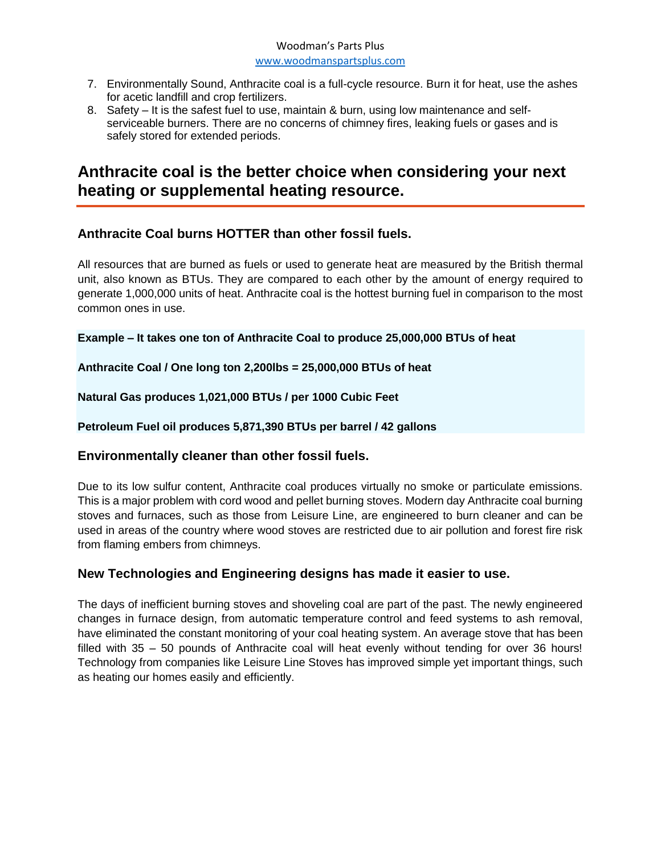#### Woodman's Parts Plus [www.woodmanspartsplus.com](http://www.woodmanspartsplus.com/)

- 7. Environmentally Sound, Anthracite coal is a full-cycle resource. Burn it for heat, use the ashes for acetic landfill and crop fertilizers.
- 8. Safety It is the safest fuel to use, maintain & burn, using low maintenance and selfserviceable burners. There are no concerns of chimney fires, leaking fuels or gases and is safely stored for extended periods.

## **Anthracite coal is the better choice when considering your next heating or supplemental heating resource.**

#### **Anthracite Coal burns HOTTER than other fossil fuels.**

All resources that are burned as fuels or used to generate heat are measured by the British thermal unit, also known as BTUs. They are compared to each other by the amount of energy required to generate 1,000,000 units of heat. Anthracite coal is the hottest burning fuel in comparison to the most common ones in use.

**Example – It takes one ton of Anthracite Coal to produce 25,000,000 BTUs of heat**

**Anthracite Coal / One long ton 2,200lbs = 25,000,000 BTUs of heat**

**Natural Gas produces 1,021,000 BTUs / per 1000 Cubic Feet**

#### **Petroleum Fuel oil produces 5,871,390 BTUs per barrel / 42 gallons**

#### **Environmentally cleaner than other fossil fuels.**

Due to its low sulfur content, Anthracite coal produces virtually no smoke or particulate emissions. This is a major problem with cord wood and pellet burning stoves. Modern day Anthracite coal burning stoves and furnaces, such as those from Leisure Line, are engineered to burn cleaner and can be used in areas of the country where wood stoves are restricted due to air pollution and forest fire risk from flaming embers from chimneys.

#### **New Technologies and Engineering designs has made it easier to use.**

The days of inefficient burning stoves and shoveling coal are part of the past. The newly engineered changes in furnace design, from automatic temperature control and feed systems to ash removal, have eliminated the constant monitoring of your coal heating system. An average stove that has been filled with 35 – 50 pounds of Anthracite coal will heat evenly without tending for over 36 hours! Technology from companies like Leisure Line Stoves has improved simple yet important things, such as heating our homes easily and efficiently.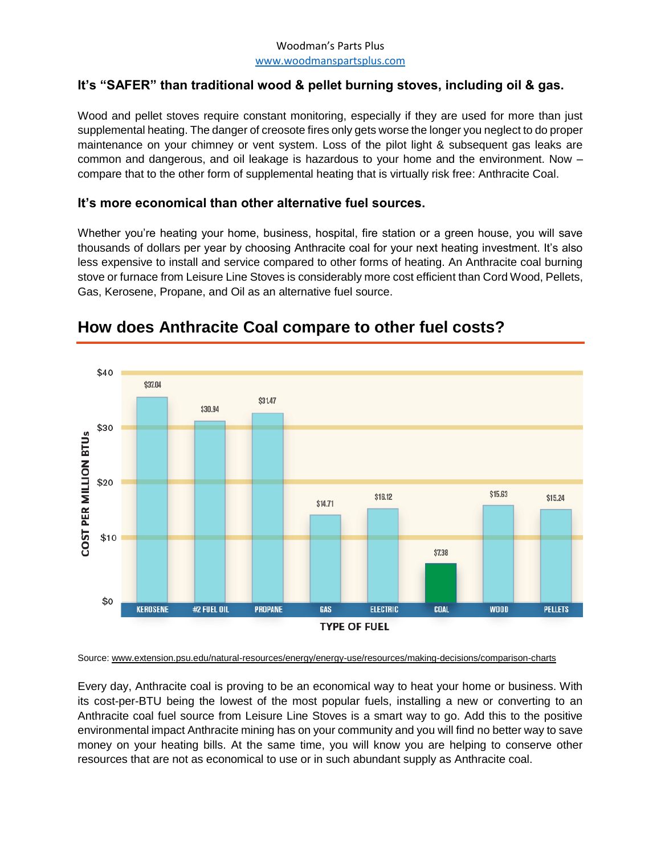#### Woodman's Parts Plus [www.woodmanspartsplus.com](http://www.woodmanspartsplus.com/)

#### **It's "SAFER" than traditional wood & pellet burning stoves, including oil & gas.**

Wood and pellet stoves require constant monitoring, especially if they are used for more than just supplemental heating. The danger of creosote fires only gets worse the longer you neglect to do proper maintenance on your chimney or vent system. Loss of the pilot light & subsequent gas leaks are common and dangerous, and oil leakage is hazardous to your home and the environment. Now – compare that to the other form of supplemental heating that is virtually risk free: Anthracite Coal.

#### **It's more economical than other alternative fuel sources.**

Whether you're heating your home, business, hospital, fire station or a green house, you will save thousands of dollars per year by choosing Anthracite coal for your next heating investment. It's also less expensive to install and service compared to other forms of heating. An Anthracite coal burning stove or furnace from Leisure Line Stoves is considerably more cost efficient than Cord Wood, Pellets, Gas, Kerosene, Propane, and Oil as an alternative fuel source.



## **How does Anthracite Coal compare to other fuel costs?**

Source[: www.extension.psu.edu/natural-resources/energy/energy-use/resources/making-decisions/comparison-charts](http://www.extension.psu.edu/natural-resources/energy/energy-use/resources/making-decisions/comparison-charts)

Every day, Anthracite coal is proving to be an economical way to heat your home or business. With its cost-per-BTU being the lowest of the most popular fuels, installing a new or converting to an Anthracite coal fuel source from Leisure Line Stoves is a smart way to go. Add this to the positive environmental impact Anthracite mining has on your community and you will find no better way to save money on your heating bills. At the same time, you will know you are helping to conserve other resources that are not as economical to use or in such abundant supply as Anthracite coal.